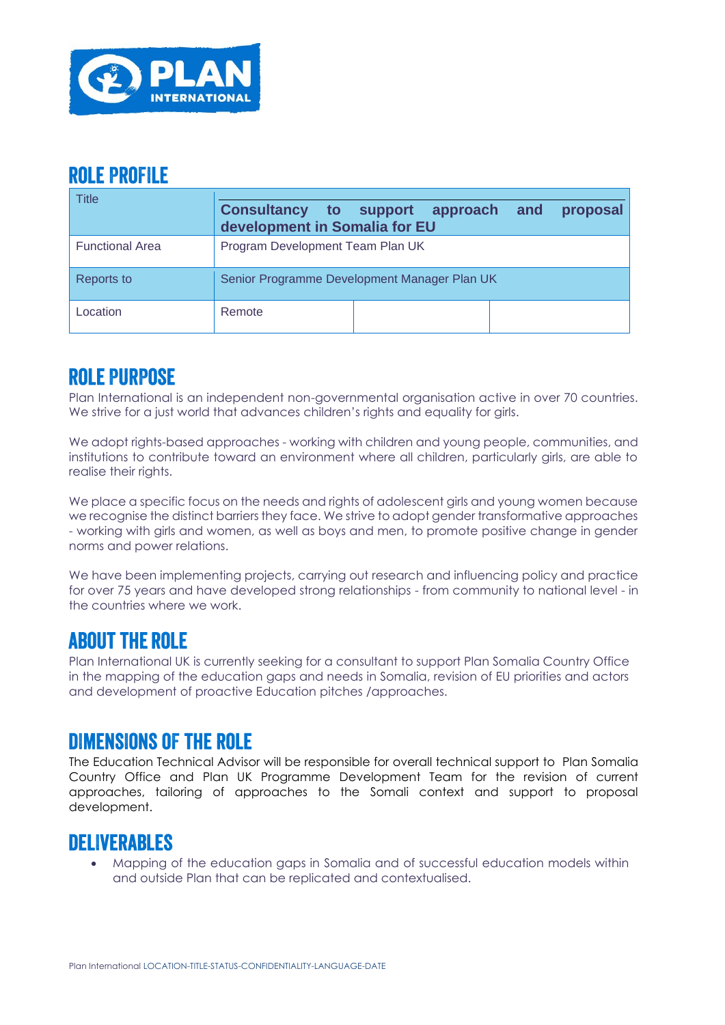

## **ROLE PROFILE**

| Title                  | <b>Consultancy to support</b><br>proposal<br>approach and<br>development in Somalia for EU |
|------------------------|--------------------------------------------------------------------------------------------|
| <b>Functional Area</b> | Program Development Team Plan UK                                                           |
| Reports to             | Senior Programme Development Manager Plan UK                                               |
| Location               | Remote                                                                                     |

# **ROLE PURPOSE**

Plan International is an independent non-governmental organisation active in over 70 countries. We strive for a just world that advances children's rights and equality for girls.

We adopt rights-based approaches - working with children and young people, communities, and institutions to contribute toward an environment where all children, particularly girls, are able to realise their rights.

We place a specific focus on the needs and rights of adolescent girls and young women because we recognise the distinct barriers they face. We strive to adopt gender transformative approaches - working with girls and women, as well as boys and men, to promote positive change in gender norms and power relations.

We have been implementing projects, carrying out research and influencing policy and practice for over 75 years and have developed strong relationships - from community to national level - in the countries where we work.

### **ABOUT THE ROLE**

Plan International UK is currently seeking for a consultant to support Plan Somalia Country Office in the mapping of the education gaps and needs in Somalia, revision of EU priorities and actors and development of proactive Education pitches /approaches.

## **DIMENSIONS OF THE ROLE**

The Education Technical Advisor will be responsible for overall technical support to Plan Somalia Country Office and Plan UK Programme Development Team for the revision of current approaches, tailoring of approaches to the Somali context and support to proposal development.

## **DELIVERABLES**

• Mapping of the education gaps in Somalia and of successful education models within and outside Plan that can be replicated and contextualised.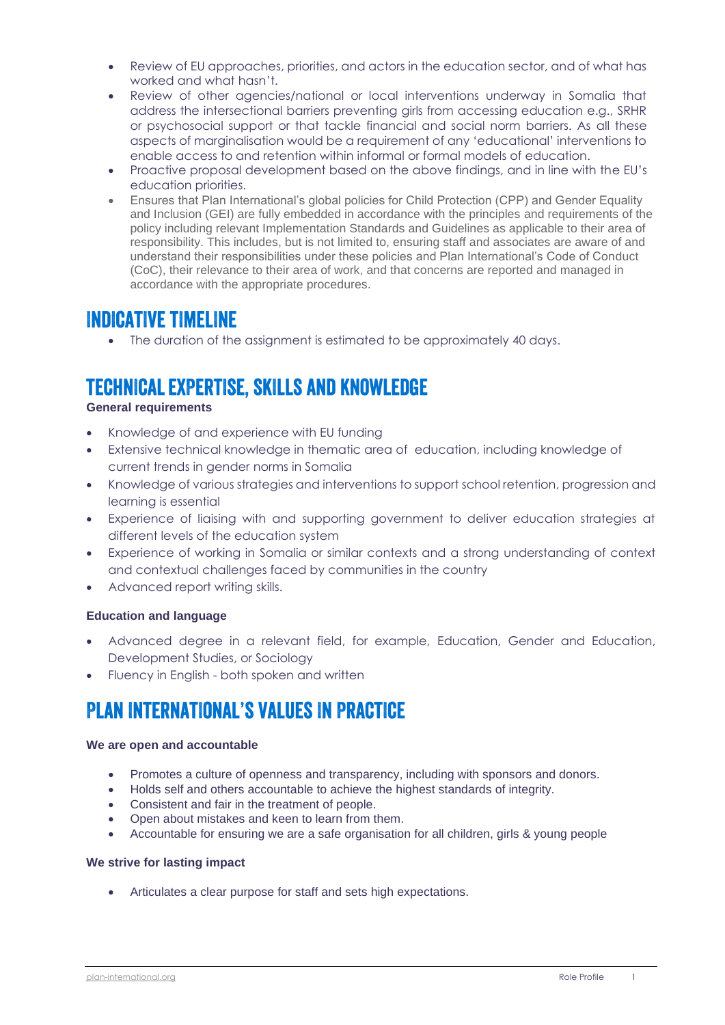- Review of EU approaches, priorities, and actors in the education sector, and of what has worked and what hasn't.
- Review of other agencies/national or local interventions underway in Somalia that address the intersectional barriers preventing girls from accessing education e.g., SRHR or psychosocial support or that tackle financial and social norm barriers. As all these aspects of marginalisation would be a requirement of any 'educational' interventions to enable access to and retention within informal or formal models of education.
- Proactive proposal development based on the above findings, and in line with the EU's education priorities.
- Ensures that Plan International's global policies for Child Protection (CPP) and Gender Equality and Inclusion (GEI) are fully embedded in accordance with the principles and requirements of the policy including relevant Implementation Standards and Guidelines as applicable to their area of responsibility. This includes, but is not limited to, ensuring staff and associates are aware of and understand their responsibilities under these policies and Plan International's Code of Conduct (CoC), their relevance to their area of work, and that concerns are reported and managed in accordance with the appropriate procedures.

### **INDICATIVE TIMELINE**

• The duration of the assignment is estimated to be approximately 40 days.

## **TECHNICAL EXPERTISE, SKILLS AND KNOWLEDGE**

#### **General requirements**

- Knowledge of and experience with EU funding
- Extensive technical knowledge in thematic area of education, including knowledge of current trends in gender norms in Somalia
- Knowledge of various strategies and interventions to support school retention, progression and learning is essential
- Experience of liaising with and supporting government to deliver education strategies at different levels of the education system
- Experience of working in Somalia or similar contexts and a strong understanding of context and contextual challenges faced by communities in the country
- Advanced report writing skills.

#### **Education and language**

- Advanced degree in a relevant field, for example, Education, Gender and Education, Development Studies, or Sociology
- Fluency in English both spoken and written

# **PLAN INTERNATIONAL'S VALUES IN PRACTICE**

#### **We are open and accountable**

- Promotes a culture of openness and transparency, including with sponsors and donors.
- Holds self and others accountable to achieve the highest standards of integrity.
- Consistent and fair in the treatment of people.
- Open about mistakes and keen to learn from them.
- Accountable for ensuring we are a safe organisation for all children, girls & young people

#### **We strive for lasting impact**

• Articulates a clear purpose for staff and sets high expectations.